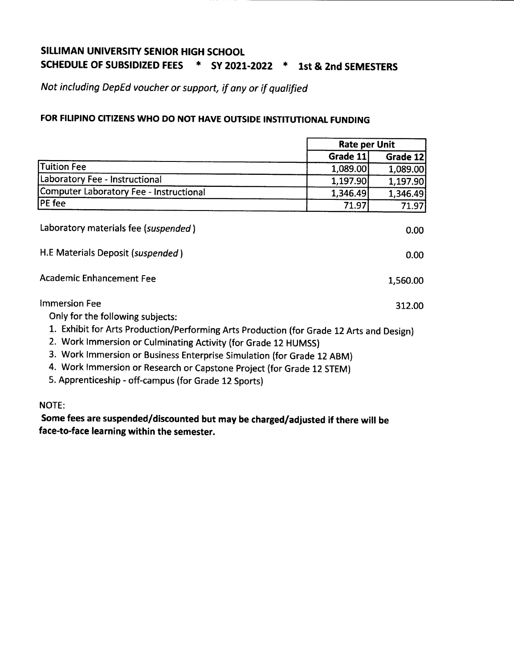# **SILLIMAN UNIVERSITY SENIOR HIGH SCHOOL SCHEDULE OF SUBSIDIZED FEES \* SY 2021-2022 \* 1st & 2nd SEMESTERS**

*Not including DepEd voucher or support, if any or if qualified*

## **FOR FILIPINO CITIZENSWHO DO NOT HAVE OUTSIDE INSTITUTIONAL FUNDING**

|                                                                                                                                                                                                                                                                                                                                                                       | <b>Rate per Unit</b> |          |
|-----------------------------------------------------------------------------------------------------------------------------------------------------------------------------------------------------------------------------------------------------------------------------------------------------------------------------------------------------------------------|----------------------|----------|
|                                                                                                                                                                                                                                                                                                                                                                       | Grade 11             | Grade 12 |
| <b>Tuition Fee</b>                                                                                                                                                                                                                                                                                                                                                    | 1,089.00             | 1,089.00 |
| Laboratory Fee - Instructional                                                                                                                                                                                                                                                                                                                                        | 1,197.90             | 1,197.90 |
| <b>Computer Laboratory Fee - Instructional</b>                                                                                                                                                                                                                                                                                                                        | 1,346.49             | 1,346.49 |
| PE fee                                                                                                                                                                                                                                                                                                                                                                | 71.97                | 71.97    |
| Laboratory materials fee (suspended)                                                                                                                                                                                                                                                                                                                                  |                      | 0.00     |
| H.E Materials Deposit (suspended)                                                                                                                                                                                                                                                                                                                                     |                      | 0.00     |
| <b>Academic Enhancement Fee</b>                                                                                                                                                                                                                                                                                                                                       |                      | 1,560.00 |
| <b>Immersion Fee</b>                                                                                                                                                                                                                                                                                                                                                  |                      | 312.00   |
| Only for the following subjects:                                                                                                                                                                                                                                                                                                                                      |                      |          |
| 1. Exhibit for Arts Production/Performing Arts Production (for Grade 12 Arts and Design)<br>2. Work Immersion or Culminating Activity (for Grade 12 HUMSS)<br>3. Work Immersion or Business Enterprise Simulation (for Grade 12 ABM)<br>4. Work Immersion or Research or Capstone Project (for Grade 12 STEM)<br>5. Apprenticeship - off-campus (for Grade 12 Sports) |                      |          |

NOTE:

**Some fees are suspended/discounted but may be charged/adjusted if there will be face-to-face learning within the semester.**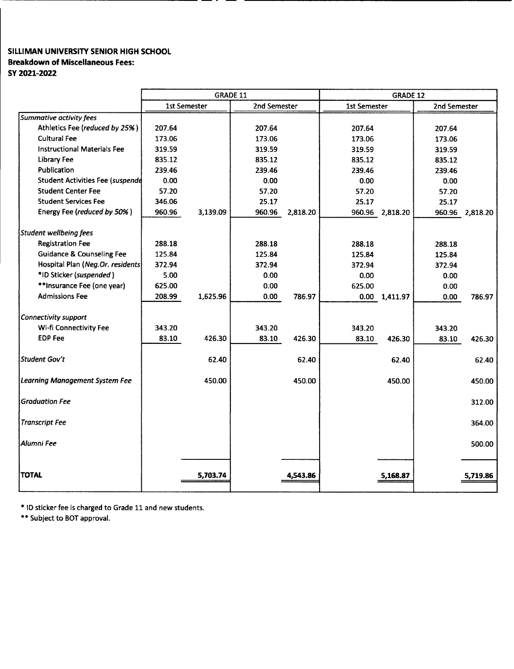#### SILLIMAN UNIVERSITY SENIOR HIGH SCHOOL Breakdown of Miscellaneous Fees: SY2021-2022

|                                         | <b>GRADE 11</b> |              | <b>GRADE 12</b> |          |                     |                       |              |                 |
|-----------------------------------------|-----------------|--------------|-----------------|----------|---------------------|-----------------------|--------------|-----------------|
|                                         |                 | 1st Semester | 2nd Semester    |          | <b>1st Semester</b> |                       | 2nd Semester |                 |
| <b>Summative activity fees</b>          |                 |              |                 |          |                     |                       |              |                 |
| Athletics Fee (reduced by 25%)          | 207.64          |              | 207.64          |          | 207.64              |                       | 207.64       |                 |
| <b>Cultural Fee</b>                     | 173.06          |              | 173.06          |          | 173.06              |                       | 173.06       |                 |
| <b>Instructional Materials Fee</b>      | 319.59          |              | 319.59          |          | 319.59              |                       | 319.59       |                 |
| Library Fee                             | 835.12          |              | 835.12          |          | 835.12              |                       | 835.12       |                 |
| Publication                             | 239.46          |              | 239.46          |          | 239.46              |                       | 239.46       |                 |
| <b>Student Activities Fee (suspende</b> | 0.00            |              | 0.00            |          | 0.00                |                       | 0.00         |                 |
| <b>Student Center Fee</b>               | 57.20           |              | 57.20           |          | 57.20               |                       | 57.20        |                 |
| <b>Student Services Fee</b>             | 346.06          |              | 25.17           |          | 25.17               |                       | 25.17        |                 |
| Energy Fee (reduced by 50%)             | 960.96          | 3,139.09     | 960.96          | 2,818.20 |                     | 960.96 2,818.20       |              | 960.96 2,818.20 |
| Student wellbeing fees                  |                 |              |                 |          |                     |                       |              |                 |
| <b>Registration Fee</b>                 | 288.18          |              | 288.18          |          | 288.18              |                       | 288.18       |                 |
| <b>Guidance &amp; Counseling Fee</b>    | 125.84          |              | 125.84          |          | 125.84              |                       | 125.84       |                 |
| Hospital Plan (Neg.Or. residents)       | 372.94          |              | 372.94          |          | 372.94              |                       | 372.94       |                 |
| *ID Sticker (suspended)                 | 5.00            |              | 0.00            |          | 0.00                |                       | 0.00         |                 |
| **Insurance Fee (one year)              | 625.00          |              | 0.00            |          | 625.00              |                       | 0.00         |                 |
| <b>Admissions Fee</b>                   | 208.99          | 1,625.96     | 0.00            | 786.97   |                     | $0.00 \quad 1,411.97$ | 0.00         | 786.97          |
| Connectivity support                    |                 |              |                 |          |                     |                       |              |                 |
| Wi-fi Connectivity Fee                  | 343.20          |              | 343.20          |          | 343.20              |                       | 343.20       |                 |
| <b>EDP Fee</b>                          | 83.10           | 426.30       | 83.10           | 426.30   | 83.10               | 426.30                | 83.10        | 426.30          |
| Student Gov't                           |                 | 62.40        |                 | 62.40    |                     | 62.40                 |              | 62.40           |
| <b>Learning Management System Fee</b>   |                 | 450.00       |                 | 450.00   |                     | 450.00                |              | 450.00          |
| <b>Graduation Fee</b>                   |                 |              |                 |          |                     |                       |              | 312.00          |
| <b>Transcript Fee</b>                   |                 |              |                 |          |                     |                       |              | 364.00          |
| Alumni Fee                              |                 |              |                 |          |                     |                       |              | 500.00          |
| <b>TOTAL</b>                            |                 | 5,703.74     |                 | 4,543.86 |                     | 5,168.87              |              | 5,719.86        |

\* ID sticker fee is charged to Grade 11 and new students.

\*\* Subject to BOT approval.